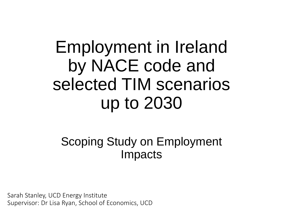Employment in Ireland by NACE code and selected TIM scenarios up to 2030

#### Scoping Study on Employment Impacts

Sarah Stanley, UCD Energy Institute Supervisor: Dr Lisa Ryan, School of Economics, UCD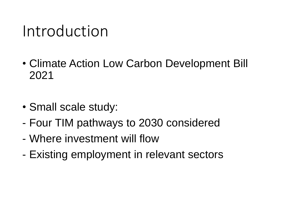### Introduction

- Climate Action Low Carbon Development Bill 2021
- Small scale study:
- Four TIM pathways to 2030 considered
- Where investment will flow
- Existing employment in relevant sectors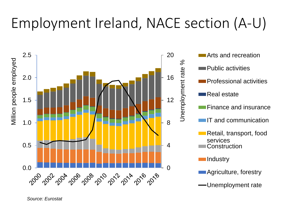### Employment Ireland, NACE section (A-U)



*Source: Eurostat*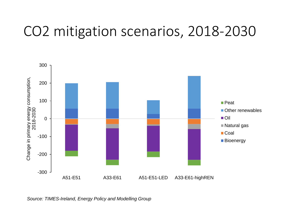#### CO2 mitigation scenarios, 2018-2030



*Source: TIMES-Ireland, Energy Policy and Modelling Group*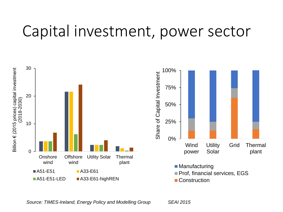#### Capital investment, power sector



*Source: TIMES-Ireland, Energy Policy and Modelling Group SEAI 2015*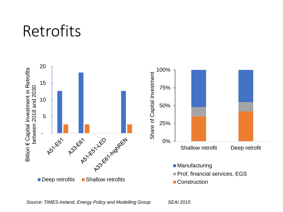#### Retrofits



*Source: TIMES-Ireland, Energy Policy and Modelling Group SEAI 2015*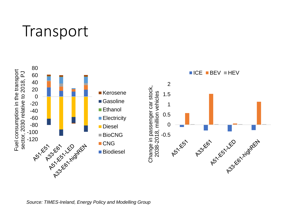#### **Transport**



*Source: TIMES-Ireland, Energy Policy and Modelling Group*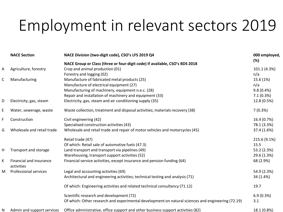# Employment in relevant sectors 2019

|   | <b>NACE Section</b>                   | NACE Division (two-digit code), CSO's LFS 2019 Q4                                                 | 000 employed, |
|---|---------------------------------------|---------------------------------------------------------------------------------------------------|---------------|
|   |                                       | NACE Group or Class (three or four-digit code) if available, CSO's BDS 2018                       | (%)           |
| А | Agriculture, forestry                 | Crop and animal production (01)                                                                   | 101.1 (4.3%)  |
|   |                                       | Forestry and logging (02)                                                                         | n/a           |
| С | Manufacturing                         | Manufacture of fabricated metal products (25)                                                     | 15.6 (1%)     |
|   |                                       | Manufacture of electrical equipment (27)                                                          | n/a           |
|   |                                       | Manufacturing of machinery, equipment n.e.c. (28)                                                 | 9.8(0.4%)     |
|   |                                       | Repair and installation of machinery and equipment (33)                                           | 7.1(0.3%)     |
| D | Electricity, gas, steam               | Electricity, gas, steam and air conditioning supply (35)                                          | 12.8 (0.5%)   |
| E | Water, sewerage, waste                | Waste collection, treatment and disposal activities; materials recovery (38)                      | 7(0.3%)       |
| F | Construction                          | Civil engineering (42)                                                                            | 16.4 (0.7%)   |
|   |                                       | Specialised construction activities (43)                                                          | 78.1 (3.3%)   |
| G | Wholesale and retail trade            | Wholesale and retail trade and repair of motor vehicles and motorcycles (45)                      | 37.4 (1.6%)   |
|   |                                       | Retail trade (47)                                                                                 | 215.6 (9.1%)  |
|   |                                       | Of which: Retail sale of automotive fuels (47.3)                                                  | 15.5          |
| н | Transport and storage                 | Land transport and transport via pipelines (49)                                                   | 53.2 (2.3%)   |
|   |                                       | Warehousing, transport support activities (52)                                                    | 29.6 (1.3%)   |
| K | Financial and insurance<br>activities | Financial service activities, except insurance and pension funding (64)                           | 68 (2.9%)     |
| M | <b>Professional services</b>          | Legal and accounting activities (69)                                                              | 54.9 (2.3%)   |
|   |                                       | Architectural and engineering activities; technical testing and analysis (71)                     | 34 (1.4%)     |
|   |                                       | Of which: Engineering activities and related technical consultancy (71.12)                        | 19.7          |
|   |                                       | Scientific research and development (72)                                                          | 6.9(0.3%)     |
|   |                                       | Of which: Other research and experimental development on natural sciences and engineering (72.19) | 3.1           |
| N | Admin and support services            | Office administrative, office support and other business support activities (82)                  | 18.1 (0.8%)   |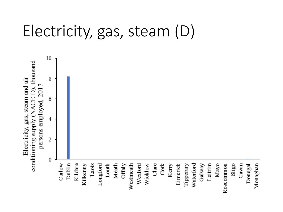### Electricity, gas, steam (D)

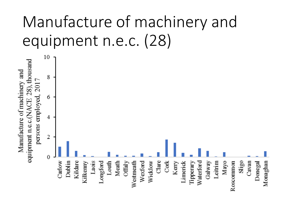# Manufacture of machinery and equipment n.e.c. (28)

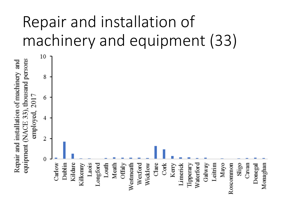# Repair and installation of machinery and equipment (33)

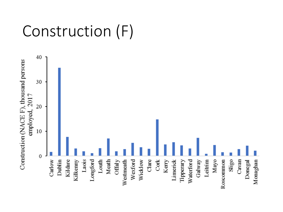### Construction (F)

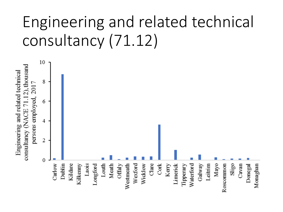# Engineering and related technical consultancy (71.12)

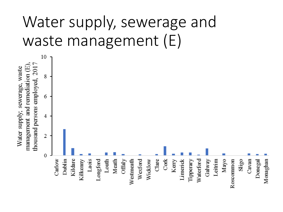# Water supply, sewerage and waste management (E)

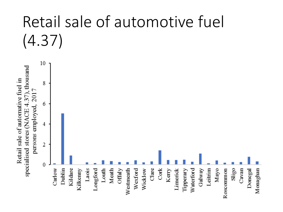# Retail sale of automotive fuel (4.37)

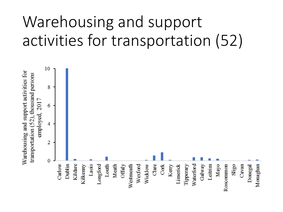# Warehousing and support activities for transportation (52)